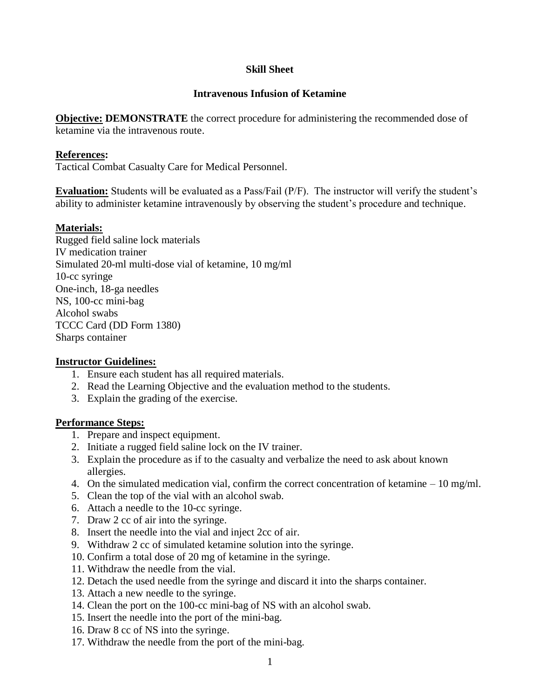# **Skill Sheet**

# **Intravenous Infusion of Ketamine**

**Objective: DEMONSTRATE** the correct procedure for administering the recommended dose of ketamine via the intravenous route.

### **References:**

Tactical Combat Casualty Care for Medical Personnel.

**Evaluation:** Students will be evaluated as a Pass/Fail (P/F). The instructor will verify the student's ability to administer ketamine intravenously by observing the student's procedure and technique.

# **Materials:**

Rugged field saline lock materials IV medication trainer Simulated 20-ml multi-dose vial of ketamine, 10 mg/ml 10-cc syringe One-inch, 18-ga needles NS, 100-cc mini-bag Alcohol swabs TCCC Card (DD Form 1380) Sharps container

#### **Instructor Guidelines:**

- 1. Ensure each student has all required materials.
- 2. Read the Learning Objective and the evaluation method to the students.
- 3. Explain the grading of the exercise.

#### **Performance Steps:**

- 1. Prepare and inspect equipment.
- 2. Initiate a rugged field saline lock on the IV trainer.
- 3. Explain the procedure as if to the casualty and verbalize the need to ask about known allergies.
- 4. On the simulated medication vial, confirm the correct concentration of ketamine 10 mg/ml.
- 5. Clean the top of the vial with an alcohol swab.
- 6. Attach a needle to the 10-cc syringe.
- 7. Draw 2 cc of air into the syringe.
- 8. Insert the needle into the vial and inject 2cc of air.
- 9. Withdraw 2 cc of simulated ketamine solution into the syringe.
- 10. Confirm a total dose of 20 mg of ketamine in the syringe.
- 11. Withdraw the needle from the vial.
- 12. Detach the used needle from the syringe and discard it into the sharps container.
- 13. Attach a new needle to the syringe.
- 14. Clean the port on the 100-cc mini-bag of NS with an alcohol swab.
- 15. Insert the needle into the port of the mini-bag.
- 16. Draw 8 cc of NS into the syringe.
- 17. Withdraw the needle from the port of the mini-bag.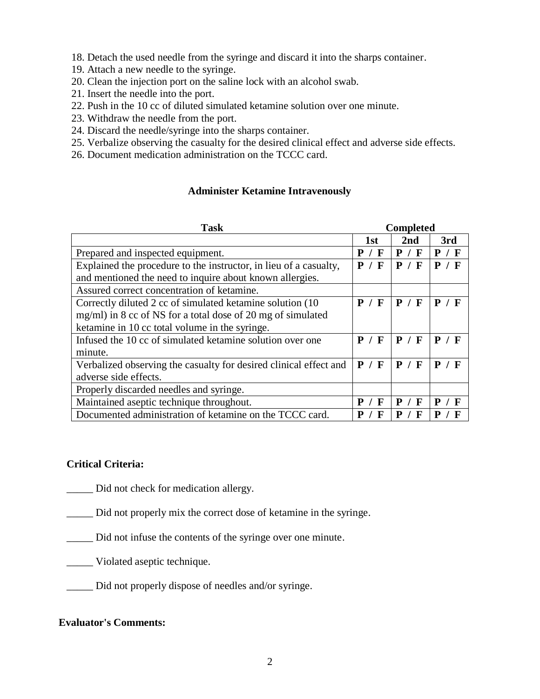18. Detach the used needle from the syringe and discard it into the sharps container.

- 19. Attach a new needle to the syringe.
- 20. Clean the injection port on the saline lock with an alcohol swab.
- 21. Insert the needle into the port.
- 22. Push in the 10 cc of diluted simulated ketamine solution over one minute.
- 23. Withdraw the needle from the port.
- 24. Discard the needle/syringe into the sharps container.
- 25. Verbalize observing the casualty for the desired clinical effect and adverse side effects.
- 26. Document medication administration on the TCCC card.

# **Administer Ketamine Intravenously**

| <b>Task</b>                                                       | <b>Completed</b> |                  |          |
|-------------------------------------------------------------------|------------------|------------------|----------|
|                                                                   | 1st              | 2nd              | 3rd      |
| Prepared and inspected equipment.                                 | P / F            | P / F            | P / F    |
| Explained the procedure to the instructor, in lieu of a casualty, | P / F            | P / F            | P / F    |
| and mentioned the need to inquire about known allergies.          |                  |                  |          |
| Assured correct concentration of ketamine.                        |                  |                  |          |
| Correctly diluted 2 cc of simulated ketamine solution (10)        | P / F            | P / F            | P / F    |
| $mg/ml$ ) in 8 cc of NS for a total dose of 20 mg of simulated    |                  |                  |          |
| ketamine in 10 cc total volume in the syringe.                    |                  |                  |          |
| Infused the 10 cc of simulated ketamine solution over one         | P / F            | P<br>/ F         | P<br>/ F |
| minute.                                                           |                  |                  |          |
| Verbalized observing the casualty for desired clinical effect and | P / F            | P / F            | P / F    |
| adverse side effects.                                             |                  |                  |          |
| Properly discarded needles and syringe.                           |                  |                  |          |
| Maintained aseptic technique throughout.                          | P<br>$\mathbf F$ | P<br>$\mathbf F$ | P        |
| Documented administration of ketamine on the TCCC card.           | F                | P<br>F           |          |

# **Critical Criteria:**

\_\_\_\_\_ Did not check for medication allergy.

\_\_\_\_\_ Did not properly mix the correct dose of ketamine in the syringe.

- \_\_\_\_\_ Did not infuse the contents of the syringe over one minute.
- \_\_\_\_\_ Violated aseptic technique.
- \_\_\_\_\_ Did not properly dispose of needles and/or syringe.

# **Evaluator's Comments:**